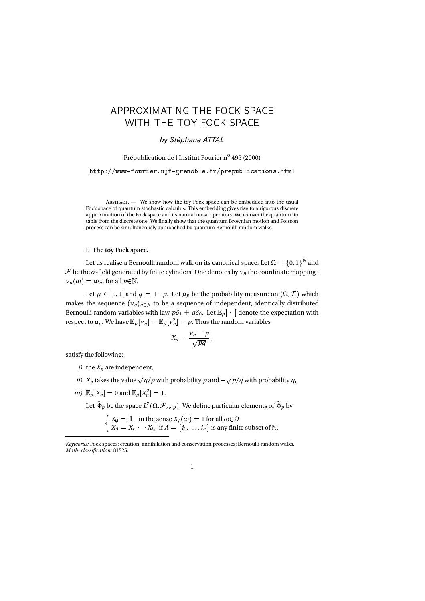# -

# by Stéphane ATTAL

Prépublication de l'Institut Fourier n<sup>o</sup> 495 (2000)

http://www-fourier.ujf-grenoble.fr/prepublications.html

A - We show how the toy Fock space can be embedded into the usual Fock space of quantum stochastic calculus. This embedding gives rise to a rigorous discrete approximation of the Fock space and its natural noise operators. We recover the quantum Ito table from the discrete one. We finally show that the quantum Brownian motion and Poisson process can be simultaneously approached by quantum Bernoulli random walks.

#### I. The toy Fock space.

Let us realise a Bernoulli random walk on its canonical space. Let  $\Omega = \{0, 1\}^{\mathbb{N}}$  and  ${\cal F}$  be the  $\sigma$ -field generated by finite cylinders. One denotes by  ${\sf v}_n$  the coordinate mapping :  $v_n(\omega) = \omega_n$ , for all  $n \in \mathbb{N}$ .

Let  $p \in ]0,1[$  and  $q = 1-p$ . Let  $\mu_p$  be the probability measure on  $(\Omega, \mathcal{F})$  which makes the sequence  $(v_n)_{n \in \mathbb{N}}$  to be a sequence of independent, identically distributed Bernoulli random variables with law  $p\delta_1 + q\delta_0$ . Let  $\mathbb{E}_p[\cdot]$  denote the expectation with respect to  $\mu_p$ . We have  $\mathbb{E}_p[\nu_n] = \mathbb{E}_p[\nu_n^2] = p$ . Thus the random variables

$$
X_n=\frac{\nu_n-p}{\sqrt{pq}}\,,
$$

satisfy the following:

- i) the  $X_n$  are independent,
- *ii*)  $X_n$  takes the value  $\sqrt{q/p}$  with probability p and  $-\sqrt{p/q}$  with probability q,
- *iii*)  $\mathbb{E}_p[X_n] = 0$  and  $\mathbb{E}_p[X_n^2] = 1$ .

Let  $\tilde{\Phi}_p$  be the space  $L^2(\Omega,\mathcal{F},\mu_p).$  We define particular elements of  $\tilde{\Phi}_p$  by

 $\int X_{\emptyset} = \mathbb{1}$ , in the sense  $X_{\emptyset}(\omega) = 1$  for all  $\omega \in \Omega$  $X_A = X_{i_1} \cdots X_{i_n}$  if  $A = \{i_1, \ldots, i_n\}$  is any finite subset of  $\mathbb N$ .

Keywords: Fock spaces; creation, annihilation and conservation processes; Bernoulli random walks. Math. classification: 81S25.

<sup>1</sup>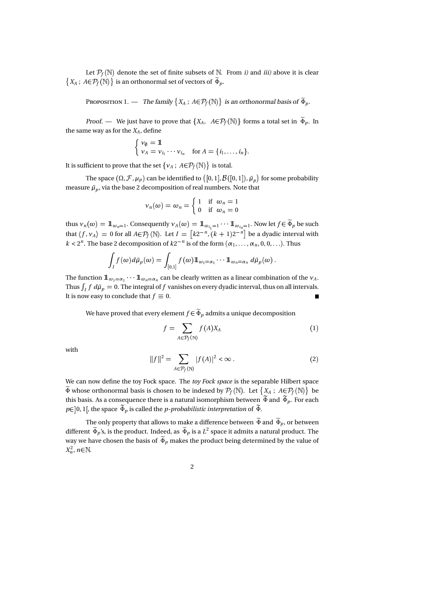Let  $P_f(\mathbb{N})$  denote the set of finite subsets of  $\mathbb{N}$ . From *i*) and *iii*) above it is clear  $\{X_A\,;\,A{\in}\mathcal{P}_f(\mathbb{N})\}$  is an orthonormal set of vectors of  $\widetilde{\Phi}_p.$ 

P  $1.$  — The family  $\{X_A\,;\,A{\in}\mathcal{P}_f(\mathbb{N})\}$  is an orthonormal basis of  $\tilde{\Phi}_p.$ 

*Proof.* — We just have to prove that  $\{X_A, A \in \mathcal{P}_f(\mathbb{N})\}$  forms a total set in  $\widetilde{\Phi}_p$ . In the same way as for the  $X_A$ , define

$$
\begin{cases} v_{\emptyset} = 1 \!\!1 \\ v_A = v_{i_1} \cdots v_{i_n} \quad \text{for } A = \{i_1, \ldots, i_n\}. \end{cases}
$$

It is sufficient to prove that the set  $\{\nu_A\,;\,A{\in}\mathcal{P}_f(\mathbb{N})\,\}$  is total.

The space  $(\Omega, \mathcal{F}, \mu_p)$  can be identified to  $\big([0,1], \mathcal{B}([0,1]), \tilde{\mu}_p\big)$  for some probability measure  ${\tilde \mu}_p$ , via the base 2 decomposition of real numbers. Note that

$$
\nu_n(\omega) = \omega_n = \begin{cases} 1 & \text{if } \omega_n = 1 \\ 0 & \text{if } \omega_n = 0 \end{cases}
$$

thus  $v_n(\omega) = \mathbb{1}_{\omega_n=1}$ . Consequently  $v_A(\omega) = \mathbb{1}_{\omega_{i_1}=1} \cdots \mathbb{1}_{\omega_{i_n}=1}$ . Now let  $f \in \widetilde{\Phi}_p$  be such that  $\langle f, v_A \rangle = 0$  for all  $A \in \mathcal{P}_f(\mathbb{N})$ . Let  $I = \left[k2^{-n}, (k+1)2^{-n}\right]$  be a dyadic interval with  $k < 2^n$ . The base 2 decomposition of  $k2^{-n}$  is of the form  $(\alpha_1, \ldots, \alpha_n, 0, 0, \ldots)$ . Thus

$$
\int_I f(\omega) d\tilde{\mu}_p(\omega) = \int_{[0,1]} f(\omega) 1\!\!1_{\omega_1 = \alpha_1} \cdots 1\!\!1_{\omega_n = \alpha_n} d\tilde{\mu}_p(\omega) .
$$

The function  $1\hskip-3.5pt1_{\,\omega_1=\alpha_1}\cdots 1\hskip-3.5pt1_{\,\omega_n=\alpha_n}$  can be clearly written as a linear combination of the  $v_A$ . Thus  $\int_I f\ d\tilde{\mu}_p = 0.$  The integral of  $f$  vanishes on every dyadic interval, thus on all intervals. It is now easy to conclude that  $f \equiv 0$ . П

We have proved that every element  $f \in \widetilde{\Phi}_p$  admits a unique decomposition

$$
f = \sum_{A \in \mathcal{P}_f(\mathbb{N})} f(A) X_A \tag{1}
$$

with

$$
||f||^2 = \sum_{A \in \mathcal{P}_f(\mathbb{N})} |f(A)|^2 < \infty \,. \tag{2}
$$

We can now define the toy Fock space. The *toy Fock space* is the separable Hilbert space  $\widetilde{\Phi}$  whose orthonormal basis is chosen to be indexed by  $\mathcal{P}_f(\mathbb{N}).$  Let  $\{X_A\ ;\ A\!\in\!\mathcal{P}_f(\mathbb{N})\}$  be this basis. As a consequence there is a natural isomorphism between  $\Phi$  and  $\Phi_p$ . For each  $p \in ]0,1[$ , the space  $\widetilde{\Phi}_p$  is called the *p-probabilistic interpretation* of  $\widetilde{\Phi}$ .

The only property that allows to make a difference between  $\widetilde{\Phi}$  and  $\widetilde{\Phi}_p$ , or between different  $\tilde{\Phi}_p$ 's, is the product. Indeed, as  $\tilde{\Phi}_p$  is a  $L^2$  space it admits a natural product. The way we have chosen the basis of  $\widetilde{\Phi}_p$  makes the product being determined by the value of  $X_n^2$ ,  $n \in \mathbb{N}$ .

2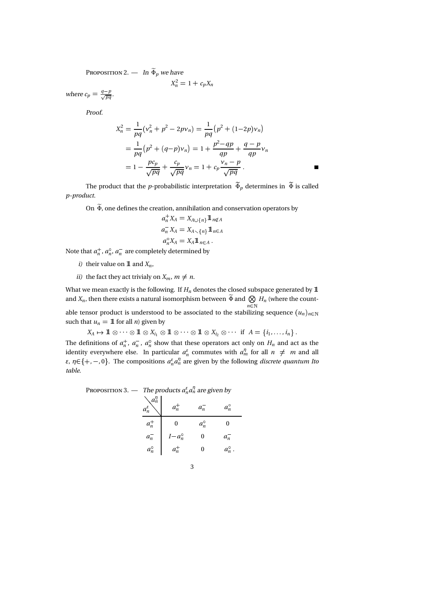$$
P \t 2. - \ln \widetilde{\Phi}_p \text{ we have}
$$

$$
X_n^2 = 1 + c_p X_n
$$

where  $c_p = \frac{q-p}{\sqrt{pq}}$ .

Proof.

$$
X_n^2 = \frac{1}{pq} (v_n^2 + p^2 - 2pv_n) = \frac{1}{pq} (p^2 + (1 - 2p)v_n)
$$
  
=  $\frac{1}{pq} (p^2 + (q - p)v_n) = 1 + \frac{p^2 - qp}{qp} + \frac{q - p}{qp}v_n$   
=  $1 - \frac{pc_p}{\sqrt{pq}} + \frac{c_p}{\sqrt{pq}} v_n = 1 + c_p \frac{v_n - p}{\sqrt{pq}}$ .

The product that the *p*-probabilistic interpretation  $\widetilde{\Phi}_p$  determines in  $\widetilde{\Phi}$  is called p-product.

On  $\widetilde{\Phi}$ , one defines the creation, annihilation and conservation operators by

$$
a_n^+ X_A = X_{A \cup \{n\}} 1\!\!1_{n \notin A}
$$
  
\n
$$
a_n^- X_A = X_{A \setminus \{n\}} 1\!\!1_{n \in A}
$$
  
\n
$$
a_n^{\circ} X_A = X_A 1\!\!1_{n \in A}.
$$

Note that  $a_n^+, a_n^{\circ}, a_n^-$  are completely determined by

- i) their value on  $\mathbbm{1}$  and  $X_n$ ,
- ii) the fact they act trivialy on  $X_m$ ,  $m \neq n$ .

What we mean exactly is the following. If  $H_n$  denotes the closed subspace generated by  $\mathbb 1$ and  $X_n$ , then there exists a natural isomorphism between  $\widetilde{\Phi}$  and  $\bigotimes_{n\in\mathbb{N}}H_n$  (where the count-

able tensor product is understood to be associated to the stabilizing sequence  $(u_n)_{n\in\mathbb{N}}$ such that  $u_n = 1$  for all *n*) given by

 $X_A \mapsto {\rm 1\hspace{-0.90ex}1} \otimes \cdots \otimes {\rm 1\hspace{-0.90ex}1} \otimes X_{i_1} \otimes {\rm 1\hspace{-0.90ex}1} \otimes \cdots \otimes {\rm 1\hspace{-0.90ex}1} \otimes X_{i_2} \otimes \cdots \ \text{ if } \ A = \{i_1, \ldots, i_n\} \ .$ The definitions of  $a_n^+$ ,  $a_n^-$ ,  $a_n^{\circ}$  show that these operators act only on  $H_n$  and act as the identity everywhere else. In particular  $a_n^{\varepsilon}$  commutes with  $a_m^{\eta}$  for all  $n \neq m$  and all ε,  $η ∈ {+, -, 0}$ . The compositions  $a<sub>n</sub><sup>ε</sup> a<sub>n</sub><sup>η</sup>$  are given by the following *discrete quantum Ito* table.

P 3. — The products  $a_n^{\varepsilon} a_n^{\eta}$  are given by 

|               | $a_n$ |                  |
|---------------|-------|------------------|
| $a_n^{\circ}$ |       | $a_n$            |
| $a_n$         |       | $a_n^{\prime}$ . |
|               |       |                  |

$$
{}^{3}
$$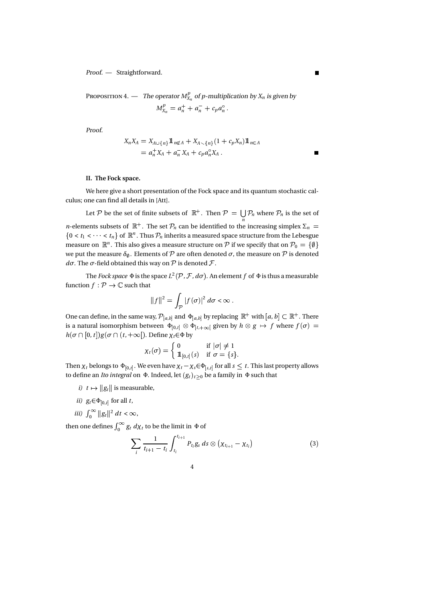Proof. — Straightforward.

P 4. — The operator 
$$
M_{X_n}^p
$$
 of p-multiplication by  $X_n$  is given by  

$$
M_{X_n}^p = a_n^+ + a_n^- + c_p a_n^\circ.
$$

Proof.

$$
X_n X_A = X_{A \cup \{n\}} 1_{n \notin A} + X_{A \setminus \{n\}} (1 + c_p X_n) 1_{n \in A}
$$
  
=  $a_n^+ X_A + a_n^- X_A + c_p a_n^{\circ} X_A$ .

### II. The Fock space.

We here give a short presentation of the Fock space and its quantum stochastic calculus; one can find all details in [Att].

Let P be the set of finite subsets of  $\mathbb{R}^+$ . Then  $\mathcal{P} = \bigcup_n \mathcal{P}_n$  where  $\mathcal{P}_n$  is the set of *n*-elements subsets of  $\mathbb{R}^+$ . The set  $\mathcal{P}_n$  can be identified to the increasing simplex  $\Sigma_n =$  $\{0 < t_1 < \cdots < t_n\}$  of  $\mathbb{R}^n$ . Thus  $\mathcal{P}_n$  inherits a measured space structure from the Lebesgue measure on  $\mathbb{R}^n.$  This also gives a measure structure on  $\mathcal P$  if we specify that on  $\mathcal P_0=\{\emptyset\}$  $+$ we put the measure  $\delta_{\emptyset}$ . Elements of  $P$  are often denoted  $\sigma$ , the measure on  $P$  is denoted dσ. The σ-field obtained this way on  $\mathcal P$  is denoted  $\mathcal F.$ 

The Fock space  $\Phi$  is the space  $L^2(\mathcal{P},\mathcal{F},d\sigma)$ . An element  $f$  of  $\Phi$  is thus a measurable function  $f : \mathcal{P} \to \mathbb{C}$  such that

$$
||f||^2 = \int_{\mathcal{P}} |f(\sigma)|^2 d\sigma < \infty.
$$

One can define, in the same way,  $\mathcal{P}_{[a,b]}$  and  $\Phi_{[a,b]}$  by replacing  $\mathbb{R}^+$  with  $[a,b] \subset \mathbb{R}^+$ . There is a natural isomorphism between  $\,\Phi_{[0,t]}\otimes \Phi_{[t,+\infty[}$  given by  $h\otimes g\,\mapsto\, f$  where  $f(\sigma)\,=\,$  $h(\sigma \cap [0, t]) g(\sigma \cap (t, +\infty])$ . Define  $\chi_t \in \Phi$  by

$$
\chi_t(\sigma) = \begin{cases} 0 & \text{if } |\sigma| \neq 1 \\ \mathbb{1}_{[0,t]}(s) & \text{if } \sigma = \{s\}. \end{cases}
$$

Then  $\chi_t$  belongs to  $\Phi_{[0,t]}$ . We even have  $\chi_t - \chi_s \in \Phi_{[s,t]}$  for all  $s \leq t$ . This last property allows to define an *Ito integral* on Φ. Indeed, let  $(g_t)_{t \geq 0}$  be a family in Φ such that

- *i*)  $t \mapsto ||g_t||$  is measurable,
- ii)  $g_t \in \Phi_{[0,t]}$  for all t,
- iii)  $\int_0^\infty ||g_t||^2 dt < \infty$ ,

then one defines  $\int_0^\infty g_t \, d\chi_t$  to be the limit in  $\Phi$  of

$$
\sum_{i} \frac{1}{t_{i+1} - t_i} \int_{t_i}^{t_{i+1}} P_{t_i} g_s ds \otimes (\chi_{t_{i+1}} - \chi_{t_i}) \tag{3}
$$

$$
4\phantom{1}
$$

П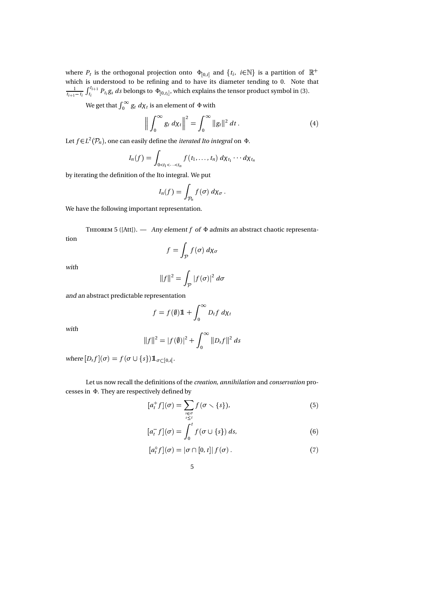where  $P_t$  is the orthogonal projection onto  $\Phi_{[0,t]}$  and  $\{t_i, i \in \mathbb{N}\}\$  is a partition of  $\mathbb{R}^+$ which is understood to be refining and to have its diameter tending to 0. Note that  $\frac{1}{t_{i+1}-t_i} \int_{t_i}^{t_{i+1}} P_{t_i} g_s$  $t_{i+1}$  $\frac{t_{i+1}}{t_i} P_{t_i} g_s ds$  belongs to  $\Phi_{[0,t_i]}$ , which explains the tensor product symbol in (3).

We get that  $\int_0^\infty g_t \ d\chi_t$  is an element of  $\Phi$  with

$$
\left\| \int_0^\infty g_t \, d\chi_t \right\|^2 = \int_0^\infty \|g_t\|^2 \, dt \,. \tag{4}
$$

Let  $f\!\in\! L^2(\mathcal{P}_n)$ , one can easily define the *iterated Ito integral* on  $\Phi.$ 

$$
I_n(f) = \int_{0 < t_1 < \cdots < t_n} f(t_1, \ldots, t_n) d\chi_{t_1} \cdots d\chi_{t_n}
$$

by iterating the definition of the Ito integral. We put

$$
I_n(f)=\int_{\mathcal{P}_n}f(\sigma)\,d\chi_{\sigma}\,.
$$

We have the following important representation.

T  $5$  ([Att]). — Any element f of  $\Phi$  admits an abstract chaotic representation

$$
f = \int_{\mathcal{P}} f(\sigma) \, d\chi_{\sigma}
$$

with

$$
||f||^2 = \int_{\mathcal{P}} |f(\sigma)|^2 d\sigma
$$

and an abstract predictable representation

$$
f = f(\emptyset) 1\!\!1 + \int_0^\infty D_t f \, d\chi_t
$$

with

$$
||f||^2 = |f(\emptyset)|^2 + \int_0^\infty ||D_s f||^2 ds
$$

where  $[D_s f](\sigma) = f(\sigma \cup \{s\}) 1\!\!1_{\sigma \subset [0,s[}.$ 

Let us now recall the definitions of the creation, annihilation and conservation processes in Φ. They are respectively defined by

$$
[a_t^+ f](\sigma) = \sum_{\substack{s \in \sigma \\ s \le t}} f(\sigma \setminus \{s\}), \tag{5}
$$

$$
[a_t^- f](\sigma) = \int_0^t f(\sigma \cup \{s\}) ds, \tag{6}
$$

$$
[at° f](\sigma) = |\sigma \cap [0, t]| f(\sigma).
$$
 (7)

5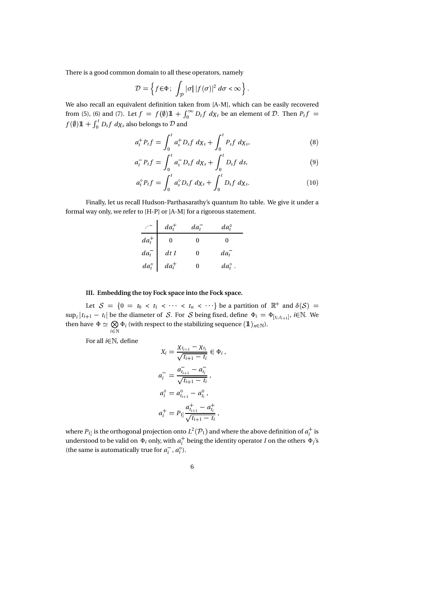There is a good common domain to all these operators, namely

$$
\mathcal{D} = \left\{ f \in \Phi \, ; \, \int_{\mathcal{P}} |\sigma| \, |f(\sigma)|^2 \, d\sigma < \infty \right\}.
$$

 We also recall an equivalent definition taken from [A-M], which can be easily recovered from (5), (6) and (7). Let  $f = f(\emptyset) \mathbb{1} + \int_0^\infty D_t f \ d\chi_t$  be an element of D. Then  $P_t f =$  $f(\emptyset)$  1 +  $\int_0^t D_s f \, d\chi_s$  als  $\int_0^\tau D_sf\;d\chi_s$  also belongs to  ${\cal D}$  and

$$
a_t^+ P_t f = \int_0^t a_s^+ D_s f \ d\chi_s + \int_0^t P_s f \ d\chi_s, \tag{8}
$$

$$
a_t^- P_t f = \int_0^t a_s^- D_s f \ d\chi_s + \int_0^t D_s f \ ds, \tag{9}
$$

$$
a_t^{\circ} P_t f = \int_0^t a_s^{\circ} D_s f \ d\chi_s + \int_0^t D_s f \ d\chi_s. \tag{10}
$$

Finally, let us recall Hudson-Parthasarathy's quantum Ito table. We give it under a formal way only, we refer to [H-P] or [A-M] for a rigorous statement.

|                                                        | $da_t^+$ | $da_t^-$ | $da_t^{\circ}$   |  |
|--------------------------------------------------------|----------|----------|------------------|--|
| $da_t^+$                                               |          |          |                  |  |
| $\begin{vmatrix} da_t^- \\ da_t^{\circ} \end{vmatrix}$ | dtI      | O        | $da_t^-$         |  |
|                                                        | $da_t^+$ |          | $da_t^{\circ}$ . |  |

### III. Embedding the toy Fock space into the Fock space.

Let  $S = \{0 = t_0 < t_1 < \cdots < t_n < \cdots \}$  be a partition of  $\mathbb{R}^+$  and  $\delta(S) =$  $\sup_i |t_{i+1} - t_i|$  be the diameter of S. For S being fixed, define  $\Phi_i = \Phi_{[t_i, t_{i+1}]}, i \in \mathbb{N}$ . We then have  $\Phi \simeq \bigotimes \Phi_i$  (with respect to then  $\bigotimes_{i\in \mathbb{N}} \Phi_i$  (with respect to the stabilizing sequence  $(\mathbb{1})_{n\in \mathbb{N}}$ ).

For all  $i \in \mathbb{N}$ , define

$$
X_i = \frac{\chi_{t_{i+1}} - \chi_{t_i}}{\sqrt{t_{i+1} - t_i}} \in \Phi_i,
$$
  
\n
$$
a_i^- = \frac{a_{t_{i+1}}^- - a_{t_i}^-}{\sqrt{t_{i+1} - t_i}},
$$
  
\n
$$
a_i^{\circ} = a_{t_{i+1}}^{\circ} - a_{t_i}^{\circ},
$$
  
\n
$$
a_i^+ = P_{1} \Big| \frac{a_{t_{i+1}}^+ - a_{t_i}^+}{\sqrt{t_{i+1} - t_i}},
$$

where  $P_{1]}$  is the orthogonal projection onto  $L^2(\mathcal{P}_1)$  and where the above definition of  $a_i^+$  is understood to be valid on  $\Phi_i$  only, with  $a_i^+$  being the identity operator  $I$  on the others  $\Phi_j$ 's (the same is automatically true for  $a_i^-, a_i^{\circ}$ ).

6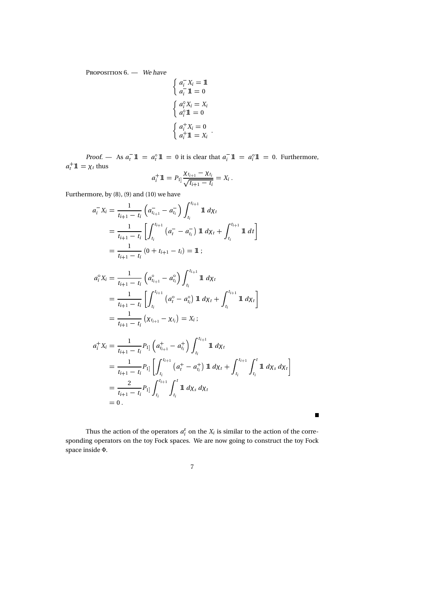P  $6. -$  We have

$$
\begin{cases}\n a_i^T X_i = 1 \\
 a_i^T 1 = 0\n\end{cases}
$$
\n
$$
\begin{cases}\n a_i^0 X_i = X_i \\
 a_i^0 1 = 0\n\end{cases}
$$
\n
$$
\begin{cases}\n a_i^+ X_i = 0 \\
 a_i^+ 1 = X_i\n\end{cases}.
$$

;

*Proof.* — As  $a_t^- \mathbb{1} = a_t^0 \mathbb{1} = 0$  it is clear that  $a_t^- \mathbb{1} = a_t^0 \mathbb{1} = 0$ . Furthermore,  $a_t$ <sup>+</sup> **1** =  $\chi_t$  thus

$$
a_i^+ 1\!\!1 = P_{1j} \frac{\chi_{t_{i+1}} - \chi_{t_i}}{\sqrt{t_{i+1} - t_i}} = X_i \,.
$$

Furthermore, by (8), (9) and (10) we have

 $=$   $\frac{2}{p_{11}}$ 

 $= 0$  .

 $\frac{2}{t_{i+1}-t_i} P_{1]} \int_{t_i}^{t_{i+1}} \int_{t_i}^t \mathbb{1}$ ti

$$
a_i^- X_i = \frac{1}{t_{i+1} - t_i} \left( a_{t_{i+1}}^- - a_{t_i}^- \right) \int_{t_i}^{t_{i+1}} 1 \, d\chi_t
$$
  
\n
$$
= \frac{1}{t_{i+1} - t_i} \left[ \int_{t_i}^{t_{i+1}} (a_i^- - a_{t_i}^-) 1 \, d\chi_t + \int_{t_i}^{t_{i+1}} 1 \, dt \right]
$$
  
\n
$$
= \frac{1}{t_{i+1} - t_i} \left( 0 + t_{i+1} - t_i \right) = 1
$$
  
\n
$$
a_i^{\circ} X_i = \frac{1}{t_{i+1} - t_i} \left( a_{t_{i+1}}^{\circ} - a_{t_i}^{\circ} \right) \int_{t_i}^{t_{i+1}} 1 \, d\chi_t
$$
  
\n
$$
= \frac{1}{t_{i+1} - t_i} \left[ \int_{t_i}^{t_{i+1}} (a_i^{\circ} - a_{t_i}^{\circ}) 1 \, d\chi_t + \int_{t_i}^{t_{i+1}} 1 \, d\chi_t \right]
$$
  
\n
$$
= \frac{1}{t_{i+1} - t_i} \left( \chi_{t_{i+1}} - \chi_{t_i} \right) = X_i
$$
  
\n
$$
a_i^+ X_i = \frac{1}{t_{i+1} - t_i} P_{1} \left( a_{t_{i+1}}^+ - a_{t_i}^+ \right) \int_{t_i}^{t_{i+1}} 1 \, d\chi_t
$$
  
\n
$$
= \frac{1}{t_{i+1} - t_i} P_{1} \left[ \int_{t_i}^{t_{i+1}} (a_i^+ - a_{t_i}^+) 1 \, d\chi_t + \int_{t_i}^{t_{i+1}} \int_{t_i}^t 1 \, d\chi_s \, d\chi_t \right]
$$

Thus the action of the operators  $a_i^{\varepsilon}$  on the  $X_i$  is similar to the action of the corresponding operators on the toy Fock spaces. We are now going to construct the toy Fock space inside Φ.

 $\mathbf{r}^t$ 

 $\prod_{t_i} d\chi_s d\chi_t$ 

ti

 $\blacksquare$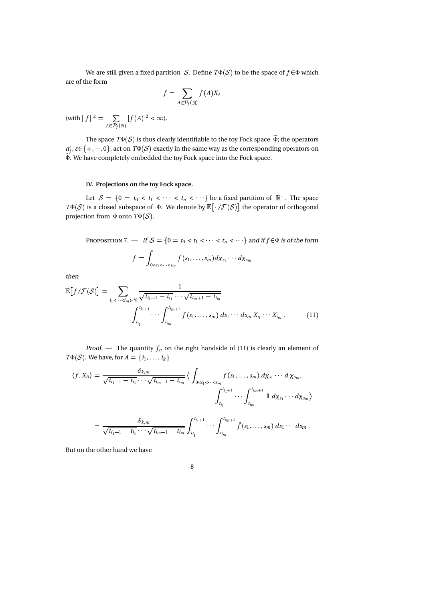We are still given a fixed partition *S*. Define  $T\Phi(S)$  to be the space of  $f \in \Phi$  which are of the form

$$
f=\sum_{A\in \mathcal{P}_f(\mathbb{N})}f(A)X_A
$$

(with 
$$
||f||^2 = \sum_{A \in \mathcal{P}_f(\mathbb{N})} |f(A)|^2 < \infty
$$
).

The space  $T\Phi(S)$  is thus clearly identifiable to the toy Fock space  $\widetilde{\Phi}$ ; the operators  $a_i^{\varepsilon}, \varepsilon \in \{+, -, 0\}$ , act on  $T\Phi(\mathcal{S})$  exactly in the same way as the corresponding operators on  $\widetilde{\Phi}$ . We have completely embedded the toy Fock space into the Fock space.

## IV. Projections on the toy Fock space.

Let  $\mathcal{S} = \{0 = t_0 < t_1 < \cdots < t_n < \cdots \}$  be a fixed partition of  $\mathbb{R}^+$ . The space  $T\Phi(S)$  is a closed subspace of  $\Phi$ . We denote by  $\mathbb{E}[\cdot/\mathcal{F}(S)]$  the operator of orthogonal projection from  $\Phi$  onto  $T\Phi(S)$ .

P 
$$
7. - If S = \{0 = t_0 < t_1 < \dots < t_n < \dots \} \text{ and if } f \in \Phi \text{ is of the form}
$$

$$
f = \int_{0 < s_1 < \dots < s_m} f(s_1, \dots, s_m) d\chi_{s_1} \dots d\chi_{s_m}
$$

then

$$
\mathbb{E}\left[f/\mathcal{F}(\mathcal{S})\right] = \sum_{i_1 < \cdots < i_m \in \mathbb{N}} \frac{1}{\sqrt{t_{i_1+1} - t_{i_1} \cdots \sqrt{t_{i_m+1} - t_{i_m}}}} \cdot \frac{1}{\int_{t_{i_1}}^{t_{i_1+1}} \cdots \int_{t_{i_m}}^{t_{i_m+1}} f(s_1, \ldots, s_m) \, ds_1 \cdots ds_m \, X_{i_1} \cdots X_{i_m} \,.} \tag{11}
$$

Proof. — The quantity  $f_n$  on the right handside of (11) is clearly an element of  $T\Phi(S)$ . We have, for  $A = \{i_1, \ldots, i_k\}$ 

$$
\langle f, X_A \rangle = \frac{\delta_{k,m}}{\sqrt{t_{i_1+1} - t_{i_1}} \cdots \sqrt{t_{i_m+1} - t_{i_m}}} \langle \int_{0 < s_1 < \cdots < s_m} f(s_1, \ldots, s_m) \, d\chi_{s_1} \cdots d\chi_{s_m},
$$
\n
$$
\int_{t_{i_1}}^{t_{i_1+1}} \cdots \int_{t_{i_m}}^{t_{i_m+1}} 1 \, d\chi_{s_1} \cdots d\chi_{s_m} \rangle
$$
\n
$$
= \frac{\delta_{k,m}}{\sqrt{t_{i_1+1} - t_{i_1}} \cdots \sqrt{t_{i_m+1} - t_{i_m}}} \int_{t_{i_1}}^{t_{i_1+1}} \cdots \int_{t_{i_m}}^{t_{i_m+1}} \tilde{f}(s_1, \ldots, s_m) \, ds_1 \cdots ds_m \, .
$$

But on the other hand we have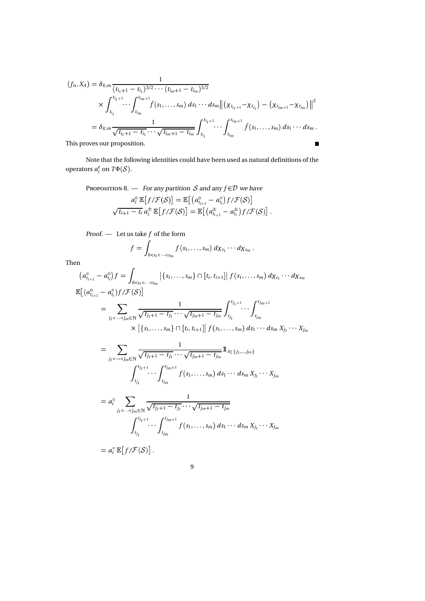$$
\langle f_n, X_A \rangle = \delta_{k,m} \frac{1}{(t_{i_1+1} - t_{i_1})^{3/2} \cdots (t_{i_m+1} - t_{i_m})^{3/2}} \\
\times \int_{t_{i_1}}^{t_{i_1+1}} \cdots \int_{t_{i_m}}^{t_{i_m+1}} \bar{f}(s_1, \ldots, s_m) \, ds_1 \cdots ds_m \|\left( \chi_{t_{i_1+1}} - \chi_{t_{i_1}} \right) - \left( \chi_{t_{i_m+1}} - \chi_{t_{i_m}} \right) \|^2 \\
= \delta_{k,m} \frac{1}{\sqrt{t_{i_1+1} - t_{i_1}} \cdots \sqrt{t_{i_m+1} - t_{i_m}}} \int_{t_{i_1}}^{t_{i_1+1}} \cdots \int_{t_{i_m}}^{t_{i_m+1}} \bar{f}(s_1, \ldots, s_m) \, ds_1 \cdots ds_m.
$$
\nThis proves our proposition.

This proves our proposition.

Note that the following identities could have been used as natural definitions of the operators  $a_i^{\varepsilon}$  on  $T\Phi(\mathcal{S})$ .

P 8. – For any partition *S* and any 
$$
f \in \mathcal{D}
$$
 we have  
\n
$$
a_i^{\circ} \mathbb{E}[f/\mathcal{F}(S)] = \mathbb{E}[(a_{t_{i+1}}^{\circ} - a_{t_i}^{\circ})f/\mathcal{F}(S)]
$$
\n
$$
\sqrt{t_{i+1} - t_i} a_i^{\pm} \mathbb{E}[f/\mathcal{F}(S)] = \mathbb{E}[(a_{t_{i+1}}^{\pm} - a_{t_i}^{\pm})f/\mathcal{F}(S)].
$$

*Proof.* — Let us take 
$$
f
$$
 of the form

$$
f=\int_{0
$$

Then

$$
(a_{t_{i+1}}^{\circ} - a_{t_i}^{\circ})f = \int_{0 < s_1 < \dots < s_m} |\{s_1, \dots, s_m\} \cap [t_i, t_{i+1}]| f(s_1, \dots, s_m) d\chi_{s_1} \cdots d\chi_{s_m}
$$
  
\n
$$
\mathbb{E}[(a_{t_{i+1}}^{\circ} - a_{t_i}^{\circ})f/\mathcal{F}(S)]
$$
\n
$$
= \sum_{j_1 < \dots < j_m \in \mathbb{N}} \frac{1}{\sqrt{t_{j_1+1} - t_{j_1} \cdots \sqrt{t_{j_m+1} - t_{j_m}}}} \int_{t_{j_1}}^{t_{j_1+1}} \cdots \int_{t_{j_m}}^{t_{j_m+1}}
$$
\n
$$
\times |\{s_1, \dots, s_m\} \cap [t_i, t_{i+1}]| f(s_1, \dots, s_m) d s_1 \cdots d s_m x_{j_1} \cdots x_{j_m}
$$
\n
$$
= \sum_{j_1 < \dots < j_m \in \mathbb{N}} \frac{1}{\sqrt{t_{j_1+1} - t_{j_1} \cdots \sqrt{t_{j_m+1} - t_{j_m}}}} 1_{i \in \{j_1, \dots, j_m\}}
$$
\n
$$
\int_{t_{j_1}}^{t_{j_1+1}} \cdots \int_{t_{j_m}}^{t_{j_{m+1}}} f(s_1, \dots, s_m) d s_1 \cdots d s_m x_{j_1} \cdots x_{j_m}
$$
\n
$$
= a_1^{\circ} \sum_{j_1 < \dots < j_m \in \mathbb{N}} \frac{1}{\sqrt{t_{j_1+1} - t_{j_1} \cdots \sqrt{t_{j_m+1} - t_{j_m}}}}
$$
\n
$$
\int_{t_{j_1}}^{t_{j_1+1}} \cdots \int_{t_{j_m}}^{t_{j_{m+1}}} f(s_1, \dots, s_m) d s_1 \cdots d s_m x_{j_1} \cdots x_{j_m}
$$
\n
$$
= a_1^{\circ} \mathbb{E}[f/\mathcal{F}(S)] .
$$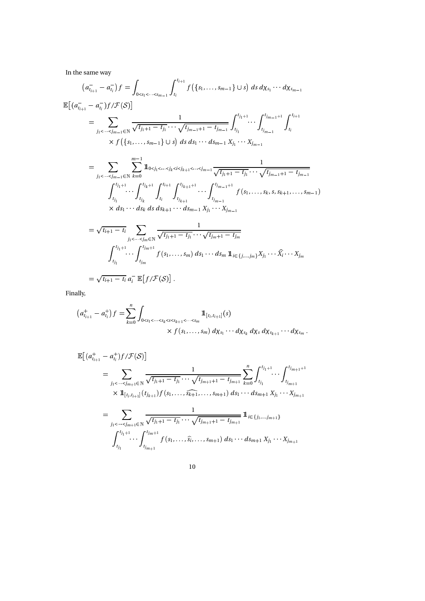In the same way

$$
(a_{i_{l+1}}^--a_{i_l}^-)f = \int_{0  
\n
$$
\mathbb{E}[(a_{i_{l+1}}^--a_{i_l}^-)f/\mathcal{F}(S)]
$$
  
\n
$$
= \sum_{j_1<\cdots
$$
$$

Finally,

$$
(a_{i_{i+1}}^+ - a_{i_i}^+) f = \sum_{k=0}^n \int_{0 < s_1 < \dots < s_k < s < s_{k+1} < \dots < s_m} 1\!\!1_{[t_i, t_{i+1}]}(s)
$$
  
\$\times f(s\_1, \dots, s\_m) d\chi\_{s\_1} \cdots d\chi\_{s\_k} d\chi\_s d\chi\_{s\_{k+1}} \cdots d\chi\_{s\_m}\$.

$$
\mathbb{E}\left[(a_{t_{i+1}}^+ - a_{t_i}^+)f/\mathcal{F}(S)\right]
$$
\n
$$
= \sum_{j_1 < \dots < j_{m+1} \in \mathbb{N}} \frac{1}{\sqrt{t_{j_1+1} - t_{j_1}} \cdots \sqrt{t_{j_{m+1}+1} - t_{j_{m+1}}}} \sum_{k=0}^n \int_{t_{j_1}}^{t_{j_1+1}} \cdots \int_{t_{j_{m+1}}}^{t_{j_{m+1}+1}} \cdots \int_{t_{j_{m+1}}}^{t_{j_{m+1}+1}} \times 1_{[t_i, t_{i+1}]}(t_{j_{k+1}}) f(s_1, \dots, \widehat{s_{k+1}}, \dots, s_{m+1}) \, ds_1 \cdots ds_{m+1} \, X_{j_1} \cdots X_{j_{m+1}}
$$
\n
$$
= \sum_{j_1 < \dots < j_{m+1} \in \mathbb{N}} \frac{1}{\sqrt{t_{j_1+1} - t_{j_1}} \cdots \sqrt{t_{j_{m+1}+1} - t_{j_{m+1}}}} \, 1_{i \in \{j_1, \dots, j_{m+1}\}}
$$
\n
$$
\int_{t_{j_1}}^{t_{j_1+1}} \cdots \int_{t_{j_{m+1}}}^{t_{j_{m+1}}} f(s_1, \dots, \widehat{s_i}, \dots, s_{m+1}) \, ds_1 \cdots ds_{m+1} \, X_{j_1} \cdots X_{j_{m+1}}
$$

$$
10\quad
$$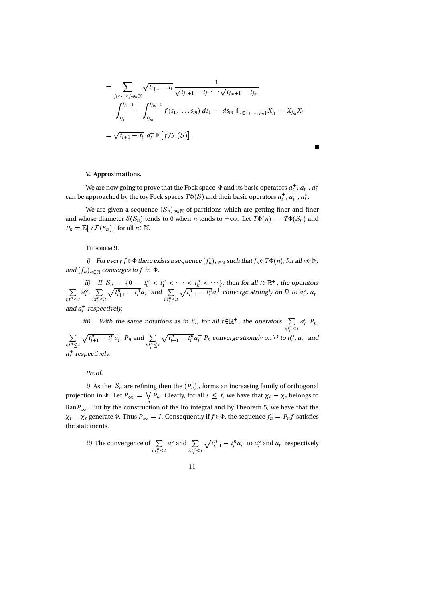$$
= \sum_{j_1 < \dots < j_m \in \mathbb{N}} \sqrt{t_{i+1} - t_i} \frac{1}{\sqrt{t_{j_1+1} - t_{j_1}} \cdots \sqrt{t_{j_m+1} - t_{j_m}}}
$$
  

$$
\int_{t_{j_1}}^{t_{j_1+1}} \dots \int_{t_{j_m}}^{t_{j_m+1}} f(s_1, \dots, s_m) ds_1 \cdots ds_m 1_{i \notin \{j_1, \dots, j_m\}} X_{j_1} \cdots X_{j_m} X_i
$$
  

$$
= \sqrt{t_{i+1} - t_i} a_i^+ 1 \mathbb{E}[f/\mathcal{F}(S)].
$$

#### V. Approximations.

We are now going to prove that the Fock space  $\,\Phi$  and its basic operators  $a_t^+$  ,  $a_t^-$  ,  $a_t^{\circ}$ can be approached by the toy Fock spaces  $T\Phi(\mathcal{S})$  and their basic operators  $a_i^+$  ,  $a_i^-$  ,  $a_i^{\circ}$  .

We are given a sequence  $(\mathcal{S}_n)_{n\in\mathbb{N}}$  of partitions which are getting finer and finer and whose diameter  $\delta(S_n)$  tends to 0 when *n* tends to  $+\infty$ . Let  $T\Phi(n) = T\Phi(S_n)$  and  $P_n = \mathbb{E}[\cdot/\mathcal{F}(S_n)],$  for all  $n \in \mathbb{N}$ .

# T 9.

i) For every  $f$   $\in$   $\Phi$  there exists a sequence  $(f_n)_{n\in \mathbb N}$  such that  $f_n$   $\in$   $T\Phi(n)$  , for all  $n$   $\in$   $\mathbb N$ , and  $(f_n)_{n \in \mathbb{N}}$  converges to f in  $\Phi$ .

ii) If  $S_n = \{0 = t_0^n < t_1^n < \cdots < t_k^n < \cdots \}$ , then for all  $t \in \mathbb{R}^+$ , the operators  $i; t_i^n \leq t$   $i; t_i^n \leq t$   $V^{-t+1}$  $a_i^{\circ}, \sum_{i;t_i^n \leq t} \sqrt{t_{i+1}^n - t_i^n} a_i^-$  and  $\sum_{i;t_i^n \leq t} \sqrt{t_{i+1}^n - t_i^n} a_i^+$  con  $\sum_{i:t_i^n\leq t}\sqrt{t_{i+1}^n-t_i^n}a_i^+$  converge strongly on  $\mathcal D$  to  $a_t^{\circ}$ ,  $a_t^$ and  $a_t^+$  respectively.

iii) With the same notations as in ii), for all  $t \in \mathbb{R}^+$ , the operators  $\sum a_i^{\circ} P_n$ ,  $i; t_i^n \leq t$  $a_i^{\circ} P_n$ ,  $\sum_{i:t_i^n\leq t}\sqrt{t_{i+1}^n-t_i^n}a_i^ P_n$  and  $\sum_{i:t_i^n\leq t}\sqrt{t_{i+1}^n-t_i^n}a_i^+$   $P_n$  converge strongly on  $\mathcal D$  to  $a_t^{\circ}$ ,  $a_t^-$  and  $a_t^+$  respectively.

#### Proof.

i) As the  $S_n$  are refining then the  $(P_n)_n$  forms an increasing family of orthogonal projection in Φ. Let  $P_{\infty} = \bigvee P_n$ . Clearly, for all  $s \leq t$ , we have that  $\chi_t - \chi_s$  belongs to  $\mathbf{M}$  . The contract of the contract of the contract of the contract of the contract of the contract of the contract of the contract of the contract of the contract of the contract of the contract of the contract of th Ran $P_{\infty}$ . But by the construction of the Ito integral and by Theorem 5, we have that the  $\chi_t - \chi_s$  generate Φ. Thus  $P_\infty = I$ . Consequently if  $f \in \Phi$ , the sequence  $f_n = P_n f$  satisfies the statements.

*ii)* The convergence of 
$$
\sum_{i,t_i^n \le t} a_i^o
$$
 and  $\sum_{i,t_i^n \le t} \sqrt{t_{i+1}^n - t_i^n} a_i^-$  to  $a_t^o$  and  $a_t^-$  respectively

$$
^{11}
$$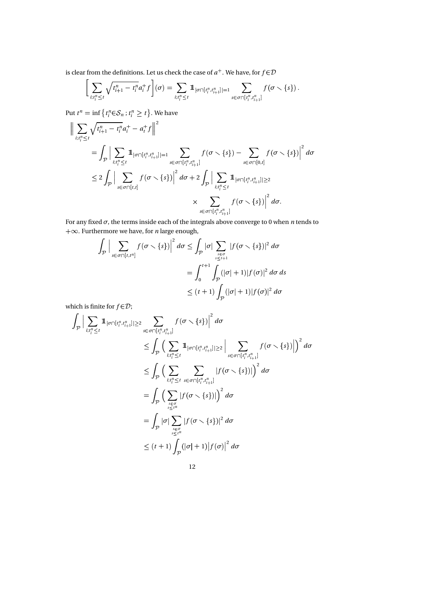is clear from the definitions. Let us check the case of  $a^+$  . We have, for  $f\!\in\!\mathcal{D}$ 

$$
\bigg[ \sum_{i;t_i^n \leq t} \sqrt{t_{i+1}^n - t_i^n} a_i^+ f \bigg] (\sigma) = \sum_{i;t_i^n \leq t} 1\!\!1_{|\sigma \cap [t_i^n, t_{i+1}^n]|=1} \sum_{s \in \sigma \cap [t_i^n, t_{i+1}^n]} f(\sigma \setminus \{s\}) .
$$

Put  $t^n = \inf \left\{ t_i^n \in \mathcal{S}_n : t_i^n \geq t \right\}$ . We have

-

$$
\begin{split} \Big\| \sum_{i;t_{i}^{n} \leq t} \sqrt{t_{i+1}^{n} - t_{i}^{n}} a_{i}^{+} - a_{i}^{+} f \Big\|^{2} \\ & = \int_{\mathcal{P}} \Big| \sum_{i;t_{i}^{n} \leq t} \mathbb{1}_{|\sigma \cap [t_{i}^{n}, t_{i+1}^{n}]| = 1} \sum_{s \in \sigma \cap [t_{i}^{n}, t_{i+1}^{n}]} f(\sigma \setminus \{s\}) - \sum_{s \in \sigma \cap [0, t]} f(\sigma \setminus \{s\}) \Big|^{2} d\sigma \\ & \leq 2 \int_{\mathcal{P}} \Big| \sum_{s \in \sigma \cap [t, t]} f(\sigma \setminus \{s\}) \Big|^{2} d\sigma + 2 \int_{\mathcal{P}} \Big| \sum_{i;t_{i}^{n} \leq t} \mathbb{1}_{|\sigma \cap [t_{i}^{n}, t_{i+1}^{n}]| \geq 2} \\ & \times \sum_{s \in \sigma \cap [t_{i}^{n}, t_{i+1}^{n}]} f(\sigma \setminus \{s\}) \Big|^{2} d\sigma. \end{split}
$$

For any fixed  $\sigma$ , the terms inside each of the integrals above converge to 0 when *n* tends to  $+\infty$ . Furthermore we have, for *n* large enough,

$$
\int_{\mathcal{P}} \Big| \sum_{s \in \sigma \cap [t, t^n]} f(\sigma \setminus \{s\}) \Big|^2 d\sigma \le \int_{\mathcal{P}} |\sigma| \sum_{s \in \sigma \atop s \le t+1} |f(\sigma \setminus \{s\})|^2 d\sigma
$$

$$
= \int_{0}^{t+1} \int_{\mathcal{P}} (|\sigma| + 1) |f(\sigma)|^2 d\sigma d\sigma
$$

$$
\le (t+1) \int_{\mathcal{P}} (|\sigma| + 1) |f(\sigma)|^2 d\sigma
$$

which is finite for  $f \in \mathcal{D}$ ;

$$
\int_{\mathcal{P}} \Big| \sum_{i:t_i^n \leq t} \mathbb{1}_{|\sigma \cap [t_i^n, t_{i+1}^n]| \geq 2} \sum_{s \in \sigma \cap [t_i^n, t_{i+1}^n]} f(\sigma \setminus \{s\}) \Big|^2 d\sigma
$$
\n
$$
\leq \int_{\mathcal{P}} \Big( \sum_{i:t_i^n \leq t} \mathbb{1}_{|\sigma \cap [t_i^n, t_{i+1}^n]| \geq 2} \Big| \sum_{s \in \sigma \cap [t_i^n, t_{i+1}^n]} f(\sigma \setminus \{s\}) \Big|^2 d\sigma
$$
\n
$$
\leq \int_{\mathcal{P}} \Big( \sum_{i:t_i^n \leq t} \sum_{s \in \sigma \cap [t_i^n, t_{i+1}^n]} |f(\sigma \setminus \{s\})| \Big)^2 d\sigma
$$
\n
$$
= \int_{\mathcal{P}} \Big( \sum_{s \in \sigma \atop s \leq t^n} |f(\sigma \setminus \{s\})| \Big)^2 d\sigma
$$
\n
$$
= \int_{\mathcal{P}} |\sigma| \sum_{s \in \sigma \atop s \leq t^n} |f(\sigma \setminus \{s\})|^2 d\sigma
$$
\n
$$
\leq (t+1) \int_{\mathcal{P}} (|\sigma|+1) |f(\sigma)|^2 d\sigma
$$
\n
$$
12
$$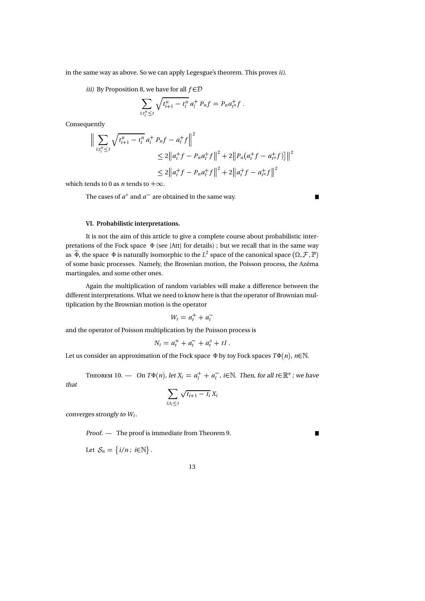in the same way as above. So we can apply Legesgue's theorem. This proves ii).

iii) By Proposition 8, we have for all  $f \in \mathcal{D}$ 

$$
\sum_{i:t_i^n \leq t} \sqrt{t_{i+1}^n - t_i^n} \, a_i^+ \, P_n f = P_n a_{t^n}^+ f \, .
$$

Consequently

$$
\|\sum_{i:t_i^n\leq t} \sqrt{t_{i+1}^n - t_i^n} a_i^+ P_n f - a_t^+ f \|^2
$$
  
\n
$$
\leq 2 \|a_t^+ f - P_n a_t^+ f \|^2 + 2 \|P_n(a_t^+ f - a_t^+ f)\|^2
$$
  
\n
$$
\leq 2 \|a_t^+ f - P_n a_t^+ f \|^2 + 2 \|a_t^+ f - a_t^+ f \|^2
$$

which tends to 0 as *n* tends to  $+\infty$ .

The cases of  $a^{\circ}$  and  $a^{-}$  are obtained in the same way.

 $\blacksquare$ 

# VI. Probabilistic interpretations.

It is not the aim of this article to give a complete course about probabilistic interpretations of the Fock space Φ (see [Att] for details) ; but we recall that in the same way as  $\widetilde{\Phi}$ , the space  $\Phi$  is naturally isomorphic to the  $L^2$  space of the canonical space  $(\Omega, \mathcal{F}, \mathbb{P})$ of some basic processes. Namely, the Brownian motion, the Poisson process, the Azéma martingales, and some other ones.

Again the multiplication of random variables will make a difference between the different interpretations. What we need to know here is that the operator of Brownian multiplication by the Brownian motion is the operator

$$
W_t = a_t^+ + a_t^-
$$

and the operator of Poisson multiplication by the Poisson process is

$$
N_t = a_t^+ + a_t^- + a_t^0 + tI.
$$

Let us consider an approximation of the Fock space  $\Phi$  by toy Fock spaces  $T\Phi(n)$ ,  $n \in \mathbb{N}$ .

T  $10. - On T\Phi(n)$ , let  $X_i = a_i^+ + a_i^-$ , i $\in \mathbb{N}$ . Then, for all  $t \in \mathbb{R}^+$ ; we have

that

$$
\sum_{i:t_i\leq t}\sqrt{t_{i+1}-t_i}\,X_i
$$

converges strongly to  $W_t$ .

Proof. — The proof is immediate from Theorem 9.

Let  $S_n = \{i/n; i \in \mathbb{N}\}.$ 

13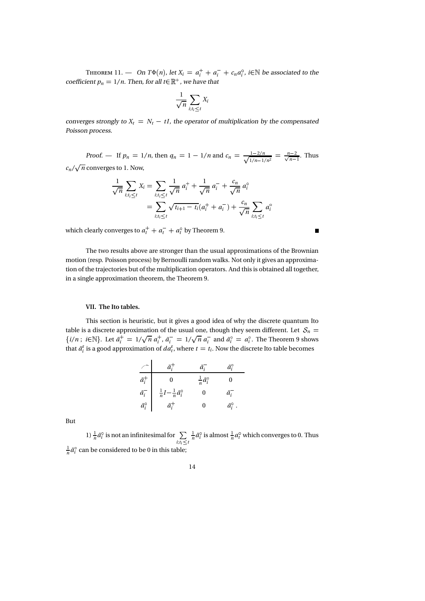T 11. — On  $T\Phi(n)$ , let  $X_i = a_i^+ + a_i^- + c_n a_i^{\circ}$ , i $\in \mathbb{N}$  be associated to the coefficient  $p_n = 1/n$ . Then, for all  $t \in \mathbb{R}^+$  , we have that

$$
\frac{1}{\sqrt{n}}\sum_{i:t_i\leq t}X_i
$$

converges strongly to  $X_t = N_t - tI$ , the operator of multiplication by the compensated Poisson process.

Proof. — If  $p_n = 1/n$ , then  $q_n = 1 - 1/n$  and  $c_n = \frac{1 - 2/n}{\sqrt{n}} = \frac{n}{\sqrt{n}}$  $\frac{1-2/n}{1/n-1/n^2} = \frac{n-2}{\sqrt{n-1}}$ . Thus  $c_n/\sqrt{n}$  converges to 1. Now,

$$
\frac{1}{\sqrt{n}} \sum_{i:t_i \leq t} X_i = \sum_{i:t_i \leq t} \frac{1}{\sqrt{n}} a_i^+ + \frac{1}{\sqrt{n}} a_i^- + \frac{c_n}{\sqrt{n}} a_i^{\circ}
$$

$$
= \sum_{i:t_i \leq t} \sqrt{t_{i+1} - t_i} (a_i^+ + a_i^-) + \frac{c_n}{\sqrt{n}} \sum_{i:t_i \leq t} a_i^{\circ}
$$

which clearly converges to  $a_t^+ + a_t^- + a_t^{\circ}$  by Theorem 9.

The two results above are stronger than the usual approximations of the Brownian motion (resp. Poisson process) by Bernoulli random walks. Not only it gives an approximation of the trajectories but of the multiplication operators. And this is obtained all together, in a single approximation theorem, the Theorem 9.

#### VII. The Ito tables.

This section is heuristic, but it gives a good idea of why the discrete quantum Ito table is a discrete approximation of the usual one, though they seem different. Let  $S_n$  $\{i/n\,;\ i \in \mathbb{N}\}.$  Let  $\tilde{a}_i^+ = 1/\sqrt{n} a_i^+, \tilde{a}_i^- = 1/\sqrt{n} a_i^-$  and  $\tilde{a}_i^0 = a_i^0$ . The Theorem 9 shows that  $\tilde{a}_i^{\varepsilon}$  is a good approximation of  $da_i^{\varepsilon}$ , where  $t = t_i$ . Now the discrete Ito table becomes

|                       | $\tilde{a}_i^+$                             | ä,                                | ã¥                      |  |
|-----------------------|---------------------------------------------|-----------------------------------|-------------------------|--|
| $\tilde{a}_i^+$       |                                             | $\frac{1}{n} \tilde{a}_i^{\circ}$ |                         |  |
| $\tilde{a}_i^-$       | $rac{1}{n}I-\frac{1}{n}\tilde{a}_i^{\circ}$ |                                   | ã,                      |  |
| $\tilde{a}_i^{\circ}$ | $\tilde{a}_i^+$                             |                                   | $\tilde{a}_{i}^{\circ}$ |  |

But

1)  $\frac{1}{n}\tilde{a}_i^{\circ}$  is not an infinitesimal for  $\sum_{n} \frac{1}{n} \tilde{a}_i^{\circ}$  is almost  $\frac{1}{n} a_t^{\circ}$  $i; t_i \leq t$  $\frac{1}{n}\tilde{a}_{i}^{\circ}$  is almost  $\frac{1}{n}a_{t}^{\circ}$  which converges to 0. Thus  $\frac{1}{n}\tilde{a}_i^{\circ}$  can be considered to be 0 in this table;

14